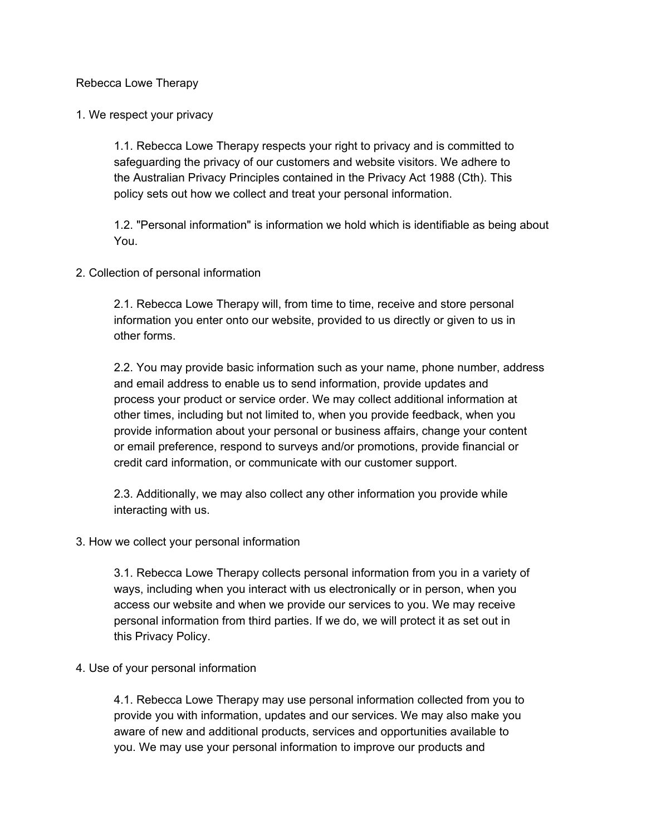Rebecca Lowe Therapy

1. We respect your privacy

1.1. Rebecca Lowe Therapy respects your right to privacy and is committed to safeguarding the privacy of our customers and website visitors. We adhere to the Australian Privacy Principles contained in the Privacy Act 1988 (Cth). This policy sets out how we collect and treat your personal information.

1.2. "Personal information" is information we hold which is identifiable as being about You.

2. Collection of personal information

2.1. Rebecca Lowe Therapy will, from time to time, receive and store personal information you enter onto our website, provided to us directly or given to us in other forms.

2.2. You may provide basic information such as your name, phone number, address and email address to enable us to send information, provide updates and process your product or service order. We may collect additional information at other times, including but not limited to, when you provide feedback, when you provide information about your personal or business affairs, change your content or email preference, respond to surveys and/or promotions, provide financial or credit card information, or communicate with our customer support.

2.3. Additionally, we may also collect any other information you provide while interacting with us.

#### 3. How we collect your personal information

3.1. Rebecca Lowe Therapy collects personal information from you in a variety of ways, including when you interact with us electronically or in person, when you access our website and when we provide our services to you. We may receive personal information from third parties. If we do, we will protect it as set out in this Privacy Policy.

#### 4. Use of your personal information

4.1. Rebecca Lowe Therapy may use personal information collected from you to provide you with information, updates and our services. We may also make you aware of new and additional products, services and opportunities available to you. We may use your personal information to improve our products and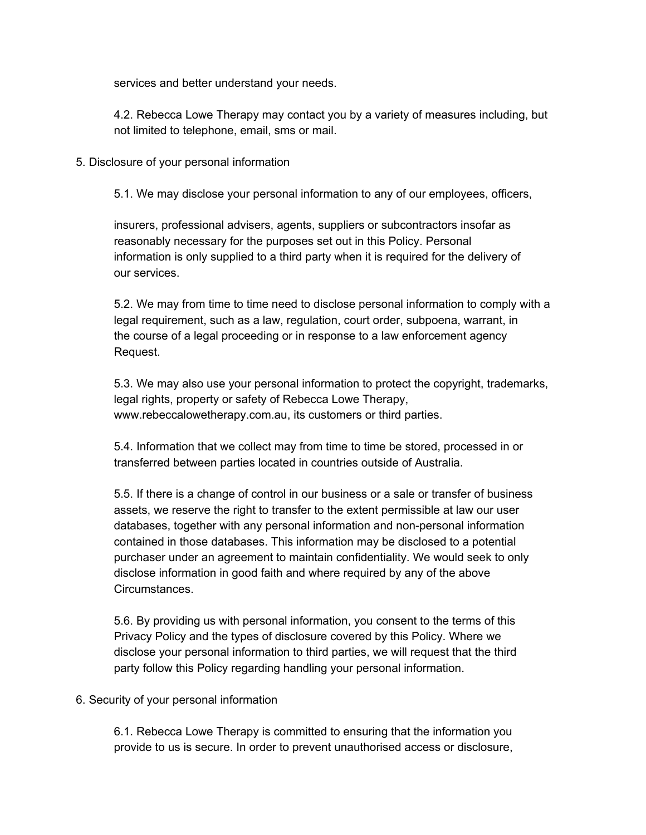services and better understand your needs.

4.2. Rebecca Lowe Therapy may contact you by a variety of measures including, but not limited to telephone, email, sms or mail.

### 5. Disclosure of your personal information

5.1. We may disclose your personal information to any of our employees, officers,

insurers, professional advisers, agents, suppliers or subcontractors insofar as reasonably necessary for the purposes set out in this Policy. Personal information is only supplied to a third party when it is required for the delivery of our services.

5.2. We may from time to time need to disclose personal information to comply with a legal requirement, such as a law, regulation, court order, subpoena, warrant, in the course of a legal proceeding or in response to a law enforcement agency Request.

5.3. We may also use your personal information to protect the copyright, trademarks, legal rights, property or safety of Rebecca Lowe Therapy, www.rebeccalowetherapy.com.au, its customers or third parties.

5.4. Information that we collect may from time to time be stored, processed in or transferred between parties located in countries outside of Australia.

5.5. If there is a change of control in our business or a sale or transfer of business assets, we reserve the right to transfer to the extent permissible at law our user databases, together with any personal information and non-personal information contained in those databases. This information may be disclosed to a potential purchaser under an agreement to maintain confidentiality. We would seek to only disclose information in good faith and where required by any of the above Circumstances.

5.6. By providing us with personal information, you consent to the terms of this Privacy Policy and the types of disclosure covered by this Policy. Where we disclose your personal information to third parties, we will request that the third party follow this Policy regarding handling your personal information.

# 6. Security of your personal information

6.1. Rebecca Lowe Therapy is committed to ensuring that the information you provide to us is secure. In order to prevent unauthorised access or disclosure,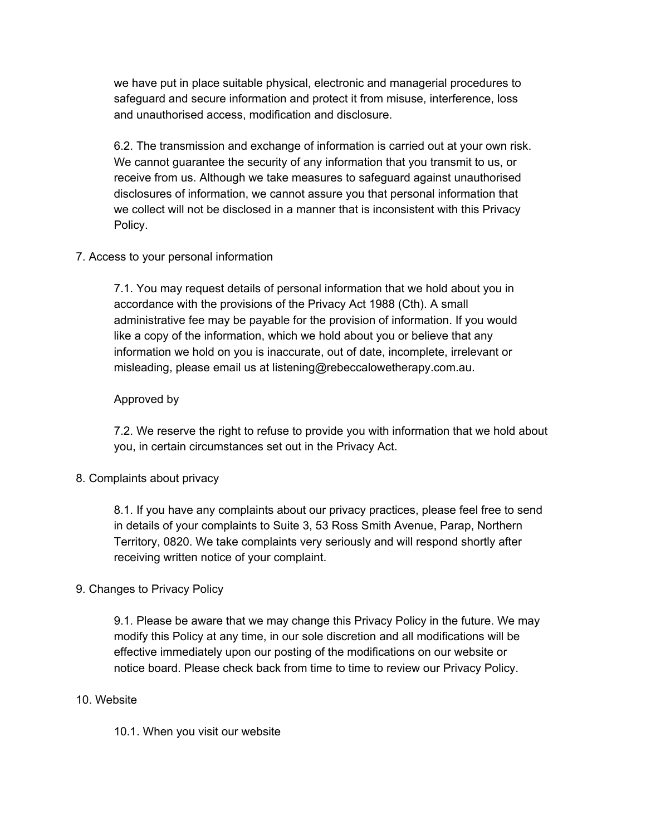we have put in place suitable physical, electronic and managerial procedures to safeguard and secure information and protect it from misuse, interference, loss and unauthorised access, modification and disclosure.

6.2. The transmission and exchange of information is carried out at your own risk. We cannot guarantee the security of any information that you transmit to us, or receive from us. Although we take measures to safeguard against unauthorised disclosures of information, we cannot assure you that personal information that we collect will not be disclosed in a manner that is inconsistent with this Privacy Policy.

# 7. Access to your personal information

7.1. You may request details of personal information that we hold about you in accordance with the provisions of the Privacy Act 1988 (Cth). A small administrative fee may be payable for the provision of information. If you would like a copy of the information, which we hold about you or believe that any information we hold on you is inaccurate, out of date, incomplete, irrelevant or misleading, please email us at listening@rebeccalowetherapy.com.au.

### Approved by

7.2. We reserve the right to refuse to provide you with information that we hold about you, in certain circumstances set out in the Privacy Act.

# 8. Complaints about privacy

8.1. If you have any complaints about our privacy practices, please feel free to send in details of your complaints to Suite 3, 53 Ross Smith Avenue, Parap, Northern Territory, 0820. We take complaints very seriously and will respond shortly after receiving written notice of your complaint.

# 9. Changes to Privacy Policy

9.1. Please be aware that we may change this Privacy Policy in the future. We may modify this Policy at any time, in our sole discretion and all modifications will be effective immediately upon our posting of the modifications on our website or notice board. Please check back from time to time to review our Privacy Policy.

#### 10. Website

10.1. When you visit our website